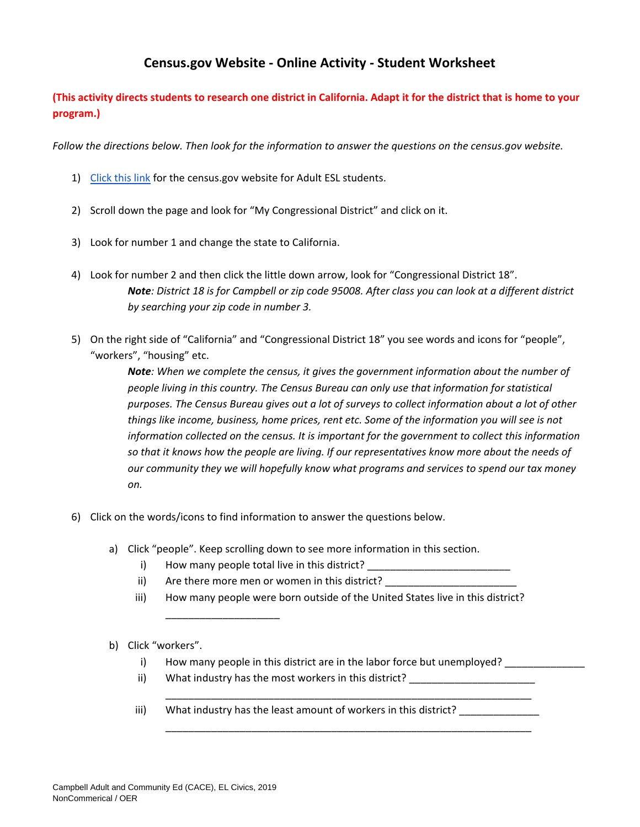## **Census.gov Website - Online Activity - Student Worksheet**

## **(This activity directs students to research one district in California. Adapt it for the district that is home to your program.)**

*Follow the directions below. Then look for the information to answer the questions on the census.gov website.* 

- 1) [Click this link](https://www.census.gov/programs-surveys/sis/2020census/2020-resources/ell-adult-esl/census-and-the-apportionment.html) for the census.gov website for Adult ESL students.
- 2) Scroll down the page and look for "My Congressional District" and click on it.
- 3) Look for number 1 and change the state to California.
- 4) Look for number 2 and then click the little down arrow, look for "Congressional District 18". *Note: District 18 is for Campbell or zip code 95008. After class you can look at a different district by searching your zip code in number 3.*
- 5) On the right side of "California" and "Congressional District 18" you see words and icons for "people", "workers", "housing" etc.

*Note: When we complete the census, it gives the government information about the number of people living in this country. The Census Bureau can only use that information for statistical purposes. The Census Bureau gives out a lot of surveys to collect information about a lot of other things like income, business, home prices, rent etc. Some of the information you will see is not information collected on the census. It is important for the government to collect this information so that it knows how the people are living. If our representatives know more about the needs of our community they we will hopefully know what programs and services to spend our tax money on.* 

- 6) Click on the words/icons to find information to answer the questions below.
	- a) Click "people". Keep scrolling down to see more information in this section.
		- i) How many people total live in this district?

\_\_\_\_\_\_\_\_\_\_\_\_\_\_\_\_\_\_\_\_

- ii) Are there more men or women in this district?
- iii) How many people were born outside of the United States live in this district?
- b) Click "workers".
	- i) How many people in this district are in the labor force but unemployed?

\_\_\_\_\_\_\_\_\_\_\_\_\_\_\_\_\_\_\_\_\_\_\_\_\_\_\_\_\_\_\_\_\_\_\_\_\_\_\_\_\_\_\_\_\_\_\_\_\_\_\_\_\_\_\_\_\_\_\_\_\_\_\_\_

\_\_\_\_\_\_\_\_\_\_\_\_\_\_\_\_\_\_\_\_\_\_\_\_\_\_\_\_\_\_\_\_\_\_\_\_\_\_\_\_\_\_\_\_\_\_\_\_\_\_\_\_\_\_\_\_\_\_\_\_\_\_\_\_

- ii) What industry has the most workers in this district?
- iii) What industry has the least amount of workers in this district? \_\_\_\_\_\_\_\_\_\_\_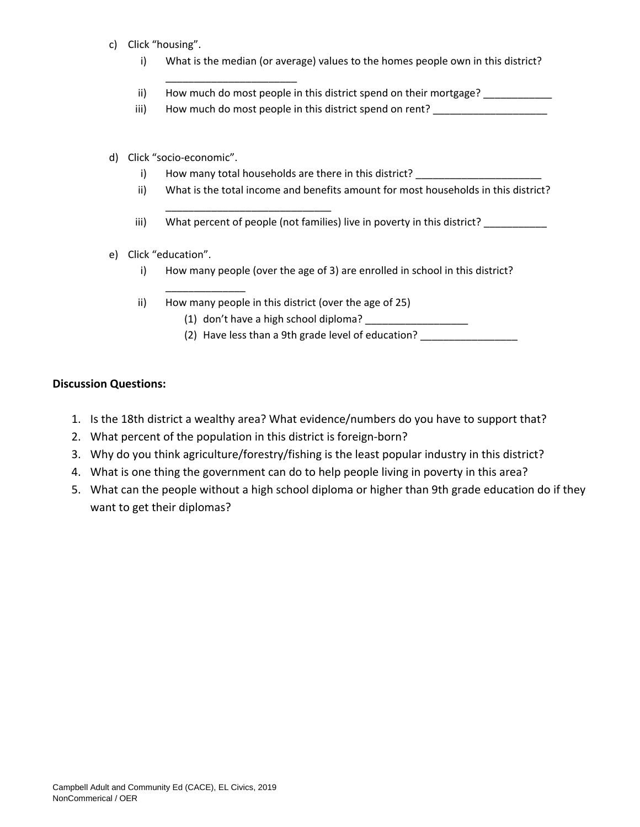- c) Click "housing".
	- i) What is the median (or average) values to the homes people own in this district?
	- ii) How much do most people in this district spend on their mortgage? \_\_\_\_\_\_\_\_\_\_
	- iii) How much do most people in this district spend on rent?
- d) Click "socio-economic".
	- i) How many total households are there in this district? \_\_\_\_\_\_

\_\_\_\_\_\_\_\_\_\_\_\_\_\_\_\_\_\_\_\_\_\_\_\_\_\_\_\_\_

\_\_\_\_\_\_\_\_\_\_\_\_\_\_\_\_\_\_\_\_\_\_\_

- ii) What is the total income and benefits amount for most households in this district?
- iii) What percent of people (not families) live in poverty in this district?
- e) Click "education".

\_\_\_\_\_\_\_\_\_\_\_\_\_\_

- i) How many people (over the age of 3) are enrolled in school in this district?
- ii) How many people in this district (over the age of 25)
	- (1) don't have a high school diploma?
	- (2) Have less than a 9th grade level of education? \_\_\_\_\_\_\_\_\_\_\_\_\_\_\_\_\_\_\_\_\_\_\_\_\_\_\_\_\_

## **Discussion Questions:**

- 1. Is the 18th district a wealthy area? What evidence/numbers do you have to support that?
- 2. What percent of the population in this district is foreign-born?
- 3. Why do you think agriculture/forestry/fishing is the least popular industry in this district?
- 4. What is one thing the government can do to help people living in poverty in this area?
- 5. What can the people without a high school diploma or higher than 9th grade education do if they want to get their diplomas?